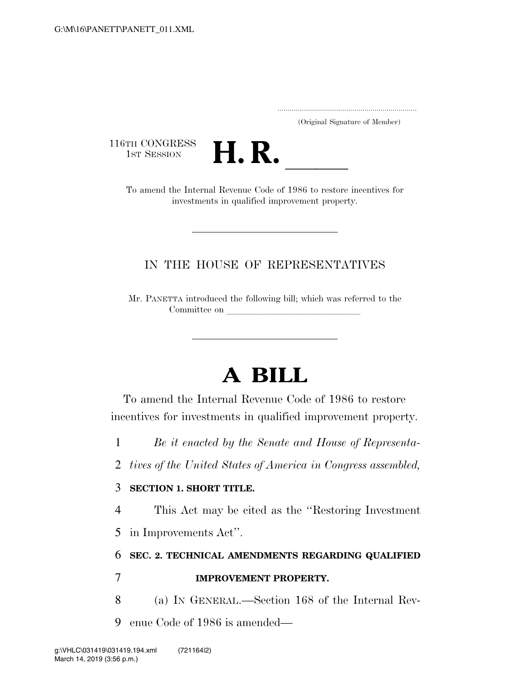..................................................................... (Original Signature of Member)

116TH CONGRESS<br>1st Session



TH CONGRESS<br>1st SESSION **H. R.** <u>Internal Revenue Code</u> of 1986 to restore incentives for investments in qualified improvement property.

## IN THE HOUSE OF REPRESENTATIVES

Mr. PANETTA introduced the following bill; which was referred to the Committee on

# **A BILL**

To amend the Internal Revenue Code of 1986 to restore incentives for investments in qualified improvement property.

- 1 *Be it enacted by the Senate and House of Representa-*
- 2 *tives of the United States of America in Congress assembled,*

#### 3 **SECTION 1. SHORT TITLE.**

4 This Act may be cited as the ''Restoring Investment

5 in Improvements Act''.

# 6 **SEC. 2. TECHNICAL AMENDMENTS REGARDING QUALIFIED**

### 7 **IMPROVEMENT PROPERTY.**

8 (a) IN GENERAL.—Section 168 of the Internal Rev-

9 enue Code of 1986 is amended—